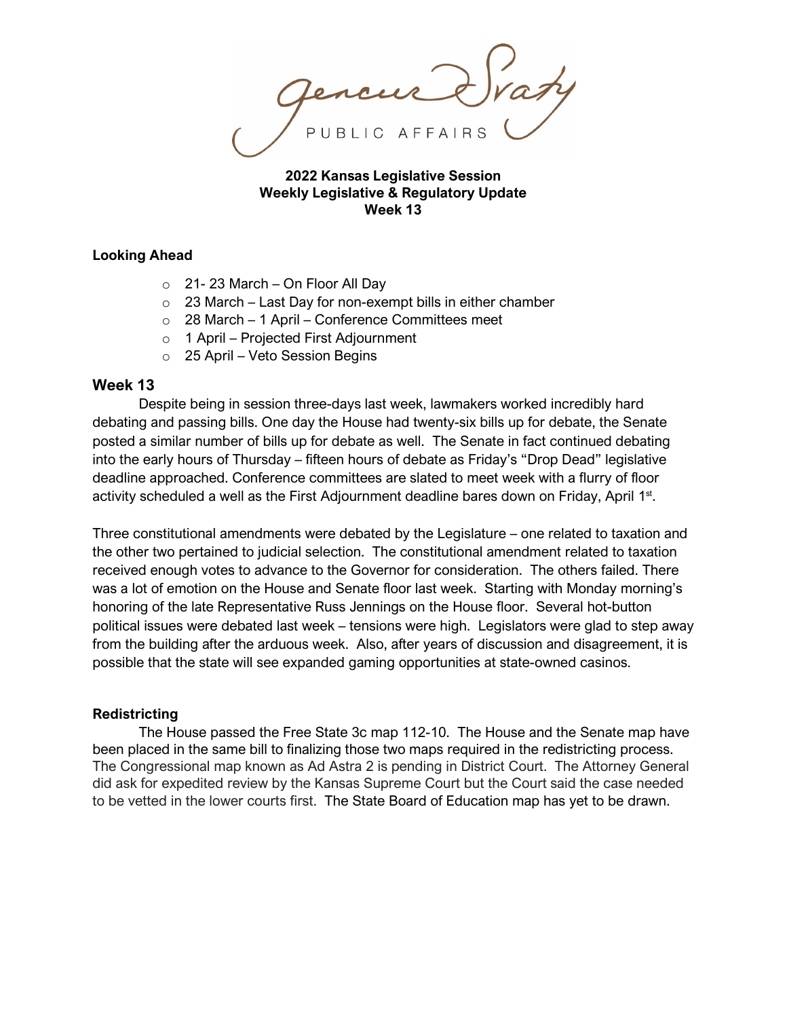PUBLIC AFFAIRS

**2022 Kansas Legislative Session Weekly Legislative & Regulatory Update Week 13** 

### **Looking Ahead**

- $\circ$  21-23 March On Floor All Day
- $\circ$  23 March Last Day for non-exempt bills in either chamber
- $\circ$  28 March 1 April Conference Committees meet
- o 1 April Projected First Adjournment
- o 25 April Veto Session Begins

### **Week 13**

Despite being in session three-days last week, lawmakers worked incredibly hard debating and passing bills. One day the House had twenty-six bills up for debate, the Senate posted a similar number of bills up for debate as well. The Senate in fact continued debating into the early hours of Thursday – fifteen hours of debate as Friday's "Drop Dead" legislative deadline approached. Conference committees are slated to meet week with a flurry of floor activity scheduled a well as the First Adjournment deadline bares down on Friday, April 1<sup>st</sup>.

Three constitutional amendments were debated by the Legislature – one related to taxation and the other two pertained to judicial selection. The constitutional amendment related to taxation received enough votes to advance to the Governor for consideration. The others failed. There was a lot of emotion on the House and Senate floor last week. Starting with Monday morning's honoring of the late Representative Russ Jennings on the House floor. Several hot-button political issues were debated last week – tensions were high. Legislators were glad to step away from the building after the arduous week. Also, after years of discussion and disagreement, it is possible that the state will see expanded gaming opportunities at state-owned casinos.

### **Redistricting**

The House passed the Free State 3c map 112-10. The House and the Senate map have been placed in the same bill to finalizing those two maps required in the redistricting process. The Congressional map known as Ad Astra 2 is pending in District Court. The Attorney General did ask for expedited review by the Kansas Supreme Court but the Court said the case needed to be vetted in the lower courts first. The State Board of Education map has yet to be drawn.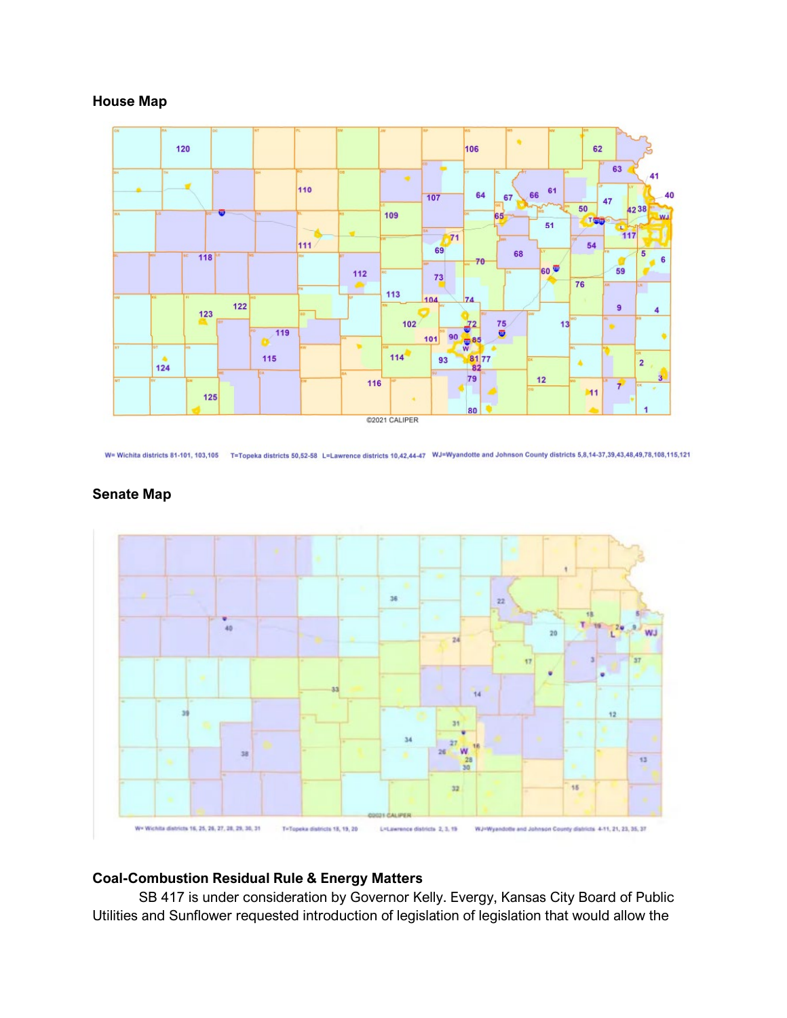## **House Map**



W= Wichita districts 81-101, 103,105 T=Topeka districts 50,52-58 L=Lawrence districts 10,42,44-47 WJ=Wyandotte and Johnson County districts 5,8,14-37,39,43,48,49,78,108,115,121



## **Senate Map**

# **Coal-Combustion Residual Rule & Energy Matters**

SB 417 is under consideration by Governor Kelly. Evergy, Kansas City Board of Public Utilities and Sunflower requested introduction of legislation of legislation that would allow the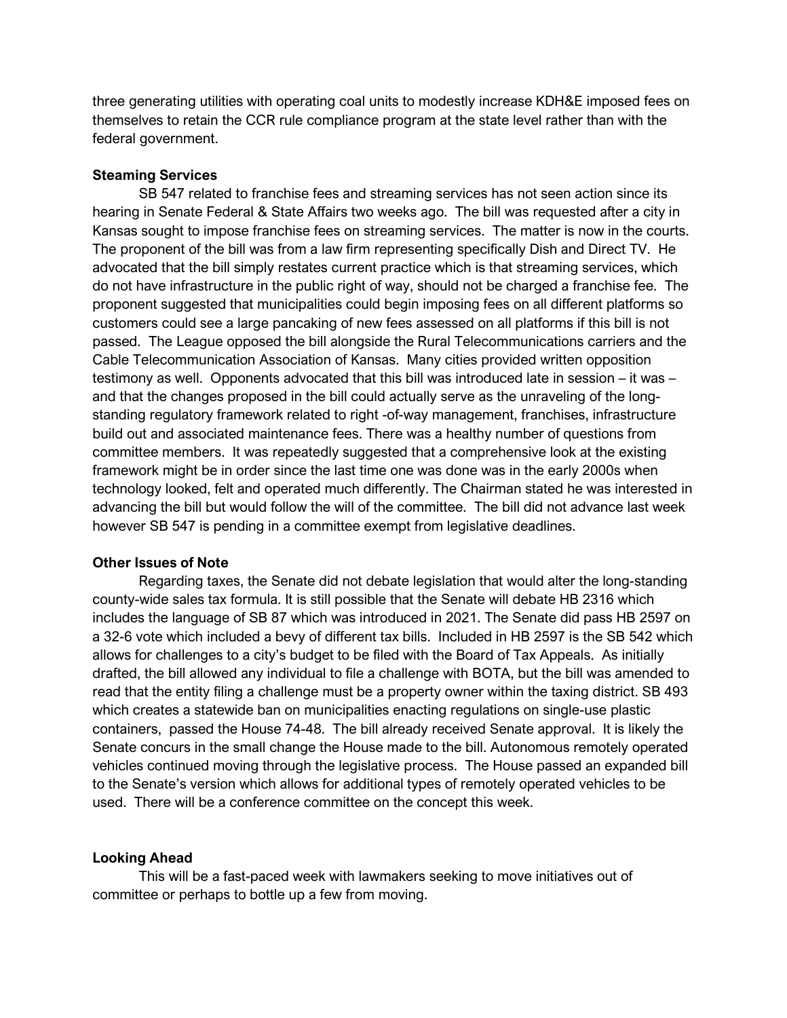three generating utilities with operating coal units to modestly increase KDH&E imposed fees on themselves to retain the CCR rule compliance program at the state level rather than with the federal government.

### **Steaming Services**

SB 547 related to franchise fees and streaming services has not seen action since its hearing in Senate Federal & State Affairs two weeks ago. The bill was requested after a city in Kansas sought to impose franchise fees on streaming services. The matter is now in the courts. The proponent of the bill was from a law firm representing specifically Dish and Direct TV. He advocated that the bill simply restates current practice which is that streaming services, which do not have infrastructure in the public right of way, should not be charged a franchise fee. The proponent suggested that municipalities could begin imposing fees on all different platforms so customers could see a large pancaking of new fees assessed on all platforms if this bill is not passed. The League opposed the bill alongside the Rural Telecommunications carriers and the Cable Telecommunication Association of Kansas. Many cities provided written opposition testimony as well. Opponents advocated that this bill was introduced late in session – it was – and that the changes proposed in the bill could actually serve as the unraveling of the longstanding regulatory framework related to right -of-way management, franchises, infrastructure build out and associated maintenance fees. There was a healthy number of questions from committee members. It was repeatedly suggested that a comprehensive look at the existing framework might be in order since the last time one was done was in the early 2000s when technology looked, felt and operated much differently. The Chairman stated he was interested in advancing the bill but would follow the will of the committee. The bill did not advance last week however SB 547 is pending in a committee exempt from legislative deadlines.

#### **Other Issues of Note**

Regarding taxes, the Senate did not debate legislation that would alter the long-standing county-wide sales tax formula. It is still possible that the Senate will debate HB 2316 which includes the language of SB 87 which was introduced in 2021. The Senate did pass HB 2597 on a 32-6 vote which included a bevy of different tax bills. Included in HB 2597 is the SB 542 which allows for challenges to a city's budget to be filed with the Board of Tax Appeals. As initially drafted, the bill allowed any individual to file a challenge with BOTA, but the bill was amended to read that the entity filing a challenge must be a property owner within the taxing district. SB 493 which creates a statewide ban on municipalities enacting regulations on single-use plastic containers, passed the House 74-48. The bill already received Senate approval. It is likely the Senate concurs in the small change the House made to the bill. Autonomous remotely operated vehicles continued moving through the legislative process. The House passed an expanded bill to the Senate's version which allows for additional types of remotely operated vehicles to be used. There will be a conference committee on the concept this week.

### **Looking Ahead**

This will be a fast-paced week with lawmakers seeking to move initiatives out of committee or perhaps to bottle up a few from moving.